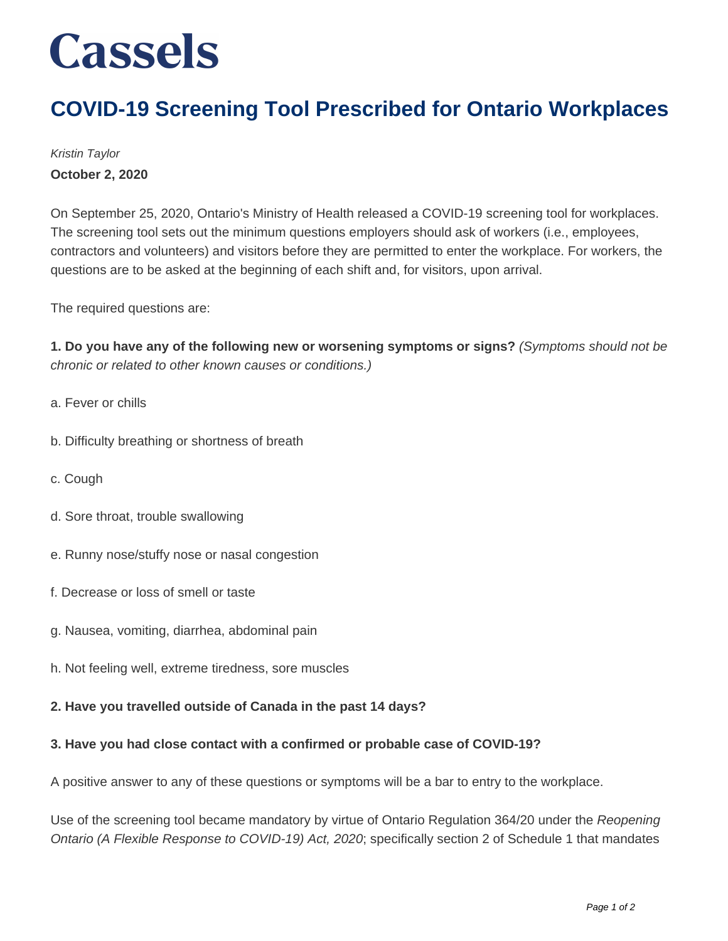## **Cassels**

### **COVID-19 Screening Tool Prescribed for Ontario Workplaces**

Kristin Taylor **October 2, 2020**

On September 25, 2020, Ontario's Ministry of Health released a COVID-19 screening tool for workplaces. The screening tool sets out the minimum questions employers should ask of workers (i.e., employees, contractors and volunteers) and visitors before they are permitted to enter the workplace. For workers, the questions are to be asked at the beginning of each shift and, for visitors, upon arrival.

The required questions are:

**1. Do you have any of the following new or worsening symptoms or signs?** (Symptoms should not be chronic or related to other known causes or conditions.)

- a. Fever or chills
- b. Difficulty breathing or shortness of breath
- c. Cough
- d. Sore throat, trouble swallowing
- e. Runny nose/stuffy nose or nasal congestion
- f. Decrease or loss of smell or taste
- g. Nausea, vomiting, diarrhea, abdominal pain
- h. Not feeling well, extreme tiredness, sore muscles

#### **2. Have you travelled outside of Canada in the past 14 days?**

#### **3. Have you had close contact with a confirmed or probable case of COVID-19?**

A positive answer to any of these questions or symptoms will be a bar to entry to the workplace.

Use of the screening tool became mandatory by virtue of Ontario Regulation 364/20 under the Reopening Ontario (A Flexible Response to COVID-19) Act, 2020; specifically section 2 of Schedule 1 that mandates